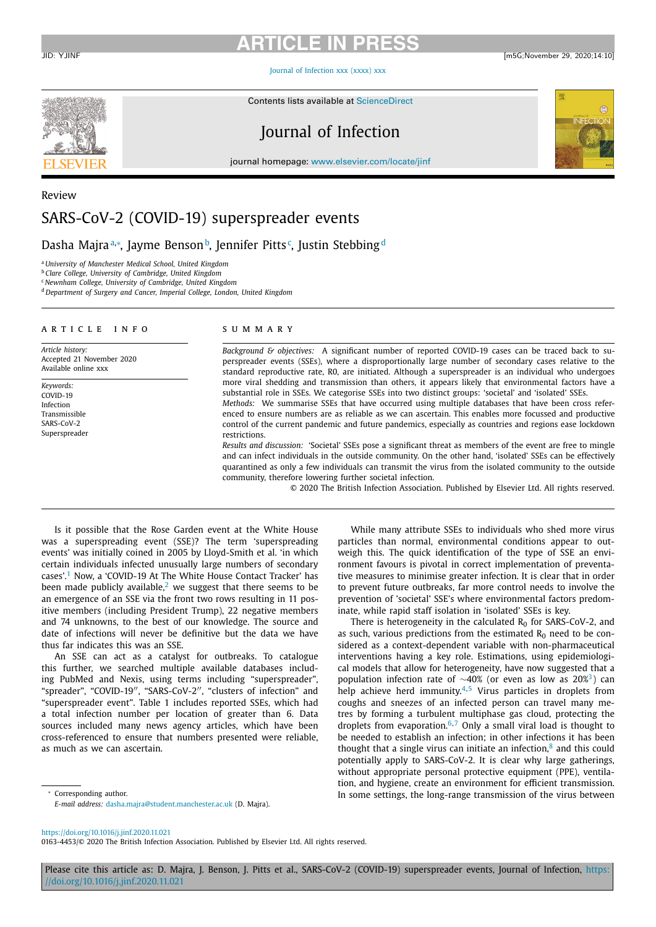## **ARTICLE IN PRE** JID: YJINF [m5G;November 29, 2020;14:10]

Journal of Infection xxx (xxxx) xxx

Contents lists available at ScienceDirect



# Journal of Infection

journal homepage: www.elsevier.com/locate/jinf



# Review SARS-CoV-2 (COVID-19) superspreader events

Dasha Majra™, Jayme Bensonʰ, Jennifer Pitts<sup>c</sup>, Justin Stebbing<sup>d</sup>

<sup>a</sup> *University of Manchester Medical School, United Kingdom*

<sup>b</sup> *Clare College, University of Cambridge, United Kingdom*

<sup>c</sup> *Newnham College, University of Cambridge, United Kingdom*

<sup>d</sup> *Department of Surgery and Cancer, Imperial College, London, United Kingdom*

### a r t i c l e i n f o

*Article history:* Accepted 21 November 2020 Available online xxx

*Keywords:*  $CONID-19$ Infection Transmissible SARS-CoV-2 Superspreader

### s u m m a r y

*Background & objectives:* A significant number of reported COVID-19 cases can be traced back to superspreader events (SSEs), where a disproportionally large number of secondary cases relative to the standard reproductive rate, R0, are initiated. Although a superspreader is an individual who undergoes more viral shedding and transmission than others, it appears likely that environmental factors have a substantial role in SSEs. We categorise SSEs into two distinct groups: 'societal' and 'isolated' SSEs.

*Methods:* We summarise SSEs that have occurred using multiple databases that have been cross referenced to ensure numbers are as reliable as we can ascertain. This enables more focussed and productive control of the current pandemic and future pandemics, especially as countries and regions ease lockdown restrictions.

*Results and discussion:* 'Societal' SSEs pose a significant threat as members of the event are free to mingle and can infect individuals in the outside community. On the other hand, 'isolated' SSEs can be effectively quarantined as only a few individuals can transmit the virus from the isolated community to the outside community, therefore lowering further societal infection.

© 2020 The British Infection Association. Published by Elsevier Ltd. All rights reserved.

Is it possible that the Rose Garden event at the White House was a superspreading event (SSE)? The term 'superspreading events' was initially coined in 2005 by Lloyd-Smith et al. 'in which certain individuals infected unusually large numbers of secondary cases'.<sup>1</sup> Now, a 'COVID-19 At The White House Contact Tracker' has been made publicly available, $2$  we suggest that there seems to be an emergence of an SSE via the front two rows resulting in 11 positive members (including President Trump), 22 negative members and 74 unknowns, to the best of our knowledge. The source and date of infections will never be definitive but the data we have thus far indicates this was an SSE.

An SSE can act as a catalyst for outbreaks. To catalogue this further, we searched multiple available databases including PubMed and Nexis, using terms including "superspreader", "spreader", "COVID-19", "SARS-CoV-2", "clusters of infection" and "superspreader event". Table 1 includes reported SSEs, which had a total infection number per location of greater than 6. Data sources included many news agency articles, which have been cross-referenced to ensure that numbers presented were reliable, as much as we can ascertain.

While many attribute SSEs to individuals who shed more virus particles than normal, environmental conditions appear to outweigh this. The quick identification of the type of SSE an environment favours is pivotal in correct implementation of preventative measures to minimise greater infection. It is clear that in order to prevent future outbreaks, far more control needs to involve the prevention of 'societal' SSE's where environmental factors predominate, while rapid staff isolation in 'isolated' SSEs is key.

There is heterogeneity in the calculated  $R_0$  for SARS-CoV-2, and as such, various predictions from the estimated  $R_0$  need to be considered as a context-dependent variable with non-pharmaceutical interventions having a key role. Estimations, using epidemiological models that allow for heterogeneity, have now suggested that a population infection rate of <sup>∼</sup>40% (or even as low as 20%3) can help achieve herd immunity.<sup>4,5</sup> Virus particles in droplets from coughs and sneezes of an infected person can travel many metres by forming a turbulent multiphase gas cloud, protecting the droplets from evaporation.<sup>6,7</sup> Only a small viral load is thought to be needed to establish an infection; in other infections it has been thought that a single virus can initiate an infection, $\delta$  and this could potentially apply to SARS-CoV-2. It is clear why large gatherings, without appropriate personal protective equipment (PPE), ventilation, and hygiene, create an environment for efficient transmission. In some settings, the long-range transmission of the virus between

<sup>∗</sup> Corresponding author.

https://doi.org/10.1016/j.jinf.2020.11.021

0163-4453/© 2020 The British Infection Association. Published by Elsevier Ltd. All rights reserved.

Please cite this article as: D. Majra, J. Benson, J. Pitts et al., SARS-CoV-2 (COVID-19) superspreader events, Journal of Infection, https: //doi.org/10.1016/j.jinf.2020.11.021

*E-mail address:* dasha.majra@student.manchester.ac.uk (D. Majra).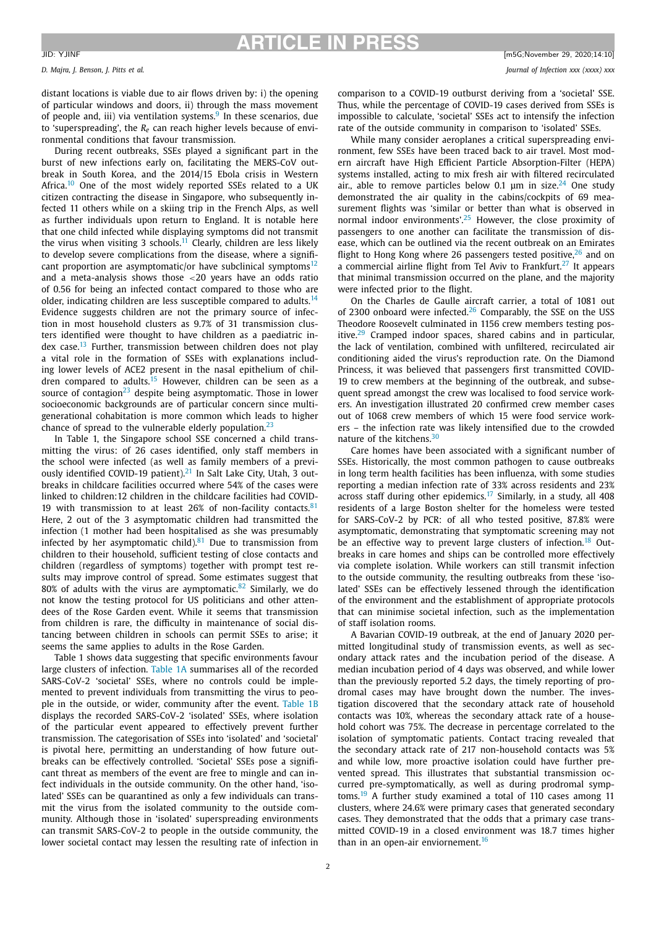distant locations is viable due to air flows driven by: i) the opening of particular windows and doors, ii) through the mass movement of people and, iii) via ventilation systems. $9$  In these scenarios, due to 'superspreading', the *Re* can reach higher levels because of environmental conditions that favour transmission.

During recent outbreaks, SSEs played a significant part in the burst of new infections early on, facilitating the MERS-CoV outbreak in South Korea, and the 2014/15 Ebola crisis in Western Africa.<sup>10</sup> One of the most widely reported SSEs related to a UK citizen contracting the disease in Singapore, who subsequently infected 11 others while on a skiing trip in the French Alps, as well as further individuals upon return to England. It is notable here that one child infected while displaying symptoms did not transmit the virus when visiting 3 schools.<sup>11</sup> Clearly, children are less likely to develop severe complications from the disease, where a significant proportion are asymptomatic/or have subclinical symptoms $12$ and a meta-analysis shows those *<*20 years have an odds ratio of 0.56 for being an infected contact compared to those who are older, indicating children are less susceptible compared to adults.<sup>14</sup> Evidence suggests children are not the primary source of infection in most household clusters as 9.7% of 31 transmission clusters identified were thought to have children as a paediatric index case.<sup>13</sup> Further, transmission between children does not play a vital role in the formation of SSEs with explanations including lower levels of ACE2 present in the nasal epithelium of children compared to adults.<sup>15</sup> However, children can be seen as a source of contagion $23$  despite being asymptomatic. Those in lower socioeconomic backgrounds are of particular concern since multigenerational cohabitation is more common which leads to higher chance of spread to the vulnerable elderly population. $23$ 

In Table 1, the Singapore school SSE concerned a child transmitting the virus: of 26 cases identified, only staff members in the school were infected (as well as family members of a previously identified COVID-19 patient). $21$  In Salt Lake City, Utah, 3 outbreaks in childcare facilities occurred where 54% of the cases were linked to children:12 children in the childcare facilities had COVID-19 with transmission to at least 26% of non-facility contacts. $81$ Here, 2 out of the 3 asymptomatic children had transmitted the infection (1 mother had been hospitalised as she was presumably infected by her asymptomatic child). $81$  Due to transmission from children to their household, sufficient testing of close contacts and children (regardless of symptoms) together with prompt test results may improve control of spread. Some estimates suggest that 80% of adults with the virus are aymptomatic.<sup>82</sup> Similarly, we do not know the testing protocol for US politicians and other attendees of the Rose Garden event. While it seems that transmission from children is rare, the difficulty in maintenance of social distancing between children in schools can permit SSEs to arise; it seems the same applies to adults in the Rose Garden.

Table 1 shows data suggesting that specific environments favour large clusters of infection. Table 1A summarises all of the recorded SARS-CoV-2 'societal' SSEs, where no controls could be implemented to prevent individuals from transmitting the virus to people in the outside, or wider, community after the event. Table 1B displays the recorded SARS-CoV-2 'isolated' SSEs, where isolation of the particular event appeared to effectively prevent further transmission. The categorisation of SSEs into 'isolated' and 'societal' is pivotal here, permitting an understanding of how future outbreaks can be effectively controlled. 'Societal' SSEs pose a significant threat as members of the event are free to mingle and can infect individuals in the outside community. On the other hand, 'isolated' SSEs can be quarantined as only a few individuals can transmit the virus from the isolated community to the outside community. Although those in 'isolated' superspreading environments can transmit SARS-CoV-2 to people in the outside community, the lower societal contact may lessen the resulting rate of infection in comparison to a COVID-19 outburst deriving from a 'societal' SSE. Thus, while the percentage of COVID-19 cases derived from SSEs is impossible to calculate, 'societal' SSEs act to intensify the infection rate of the outside community in comparison to 'isolated' SSEs.

While many consider aeroplanes a critical superspreading environment, few SSEs have been traced back to air travel. Most modern aircraft have High Efficient Particle Absorption-Filter (HEPA) systems installed, acting to mix fresh air with filtered recirculated air., able to remove particles below 0.1  $\mu$ m in size.<sup>24</sup> One study demonstrated the air quality in the cabins/cockpits of 69 measurement flights was 'similar or better than what is observed in normal indoor environments'.<sup>25</sup> However, the close proximity of passengers to one another can facilitate the transmission of disease, which can be outlined via the recent outbreak on an Emirates flight to Hong Kong where 26 passengers tested positive, $26$  and on a commercial airline flight from Tel Aviv to Frankfurt.<sup>27</sup> It appears that minimal transmission occurred on the plane, and the majority were infected prior to the flight.

On the Charles de Gaulle aircraft carrier, a total of 1081 out of 2300 onboard were infected.<sup>26</sup> Comparably, the SSE on the USS Theodore Roosevelt culminated in 1156 crew members testing positive.<sup>29</sup> Cramped indoor spaces, shared cabins and in particular, the lack of ventilation, combined with unfiltered, recirculated air conditioning aided the virus's reproduction rate. On the Diamond Princess, it was believed that passengers first transmitted COVID-19 to crew members at the beginning of the outbreak, and subsequent spread amongst the crew was localised to food service workers. An investigation illustrated 20 confirmed crew member cases out of 1068 crew members of which 15 were food service workers – the infection rate was likely intensified due to the crowded nature of the kitchens.<sup>30</sup>

Care homes have been associated with a significant number of SSEs. Historically, the most common pathogen to cause outbreaks in long term health facilities has been influenza, with some studies reporting a median infection rate of 33% across residents and 23% across staff during other epidemics.<sup>17</sup> Similarly, in a study, all 408 residents of a large Boston shelter for the homeless were tested for SARS-CoV-2 by PCR: of all who tested positive, 87.8% were asymptomatic, demonstrating that symptomatic screening may not be an effective way to prevent large clusters of infection.<sup>18</sup> Outbreaks in care homes and ships can be controlled more effectively via complete isolation. While workers can still transmit infection to the outside community, the resulting outbreaks from these 'isolated' SSEs can be effectively lessened through the identification of the environment and the establishment of appropriate protocols that can minimise societal infection, such as the implementation of staff isolation rooms.

A Bavarian COVID-19 outbreak, at the end of January 2020 permitted longitudinal study of transmission events, as well as secondary attack rates and the incubation period of the disease. A median incubation period of 4 days was observed, and while lower than the previously reported 5.2 days, the timely reporting of prodromal cases may have brought down the number. The investigation discovered that the secondary attack rate of household contacts was 10%, whereas the secondary attack rate of a household cohort was 75%. The decrease in percentage correlated to the isolation of symptomatic patients. Contact tracing revealed that the secondary attack rate of 217 non-household contacts was 5% and while low, more proactive isolation could have further prevented spread. This illustrates that substantial transmission occurred pre-symptomatically, as well as during prodromal symptoms.<sup>19</sup> A further study examined a total of 110 cases among 11 clusters, where 24.6% were primary cases that generated secondary cases. They demonstrated that the odds that a primary case transmitted COVID-19 in a closed environment was 18.7 times higher than in an open-air enviornement.<sup>16</sup>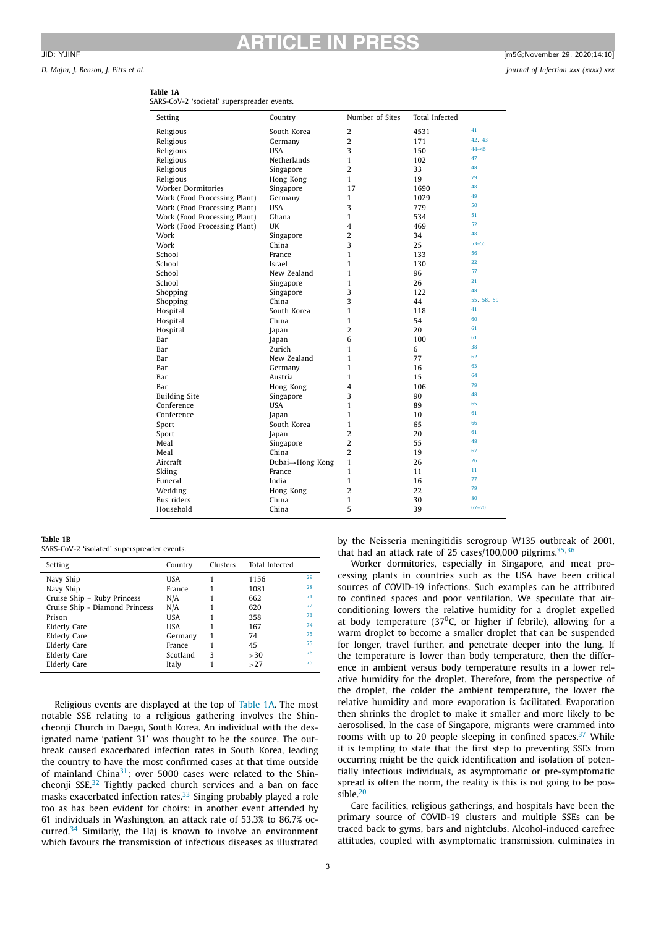# **ARTICLE IN PRESS** JID: YJINF [m5G;November 29, 2020;14:10]

*D. Majra, J. Benson, J. Pitts et al. Journal of Infection xxx (xxxx) xxx*

| iujiu, j. benson, j. ritts et ui |  |  |
|----------------------------------|--|--|
|                                  |  |  |

| Setting                      | Country         | Number of Sites | Total Infected |            |
|------------------------------|-----------------|-----------------|----------------|------------|
| Religious                    | South Korea     | $\overline{c}$  | 4531           | 41         |
| Religious                    | Germany         | $\overline{2}$  | 171            | 42, 43     |
| Religious                    | <b>USA</b>      | 3               | 150            | $44 - 46$  |
| Religious                    | Netherlands     | $\mathbf{1}$    | 102            | 47         |
| Religious                    | Singapore       | $\overline{2}$  | 33             | 48         |
| Religious                    | Hong Kong       | $\mathbf{1}$    | 19             | 79         |
| Worker Dormitories           | Singapore       | 17              | 1690           | 48         |
| Work (Food Processing Plant) | Germany         | $\mathbf{1}$    | 1029           | 49         |
| Work (Food Processing Plant) | <b>USA</b>      | 3               | 779            | 50         |
| Work (Food Processing Plant) | Ghana           | 1               | 534            | 51         |
| Work (Food Processing Plant) | UK              | 4               | 469            | 52         |
| Work                         | Singapore       | $\overline{2}$  | 34             | 48         |
| Work                         | China           | 3               | 25             | $53 - 55$  |
| School                       | France          | $\mathbf{1}$    | 133            | 56         |
| School                       | Israel          | $\mathbf{1}$    | 130            | 22         |
| School                       | New Zealand     | $\mathbf{1}$    | 96             | 57         |
| School                       | Singapore       | 1               | 26             | 21         |
| Shopping                     | Singapore       | 3               | 122            | 48         |
| Shopping                     | China           | 3               | 44             | 55, 58, 59 |
| Hospital                     | South Korea     | $\mathbf{1}$    | 118            | 41         |
| Hospital                     | China           | $\mathbf{1}$    | 54             | 60         |
| Hospital                     | Japan           | $\overline{2}$  | 20             | 61         |
| Bar                          | Japan           | 6               | 100            | 61         |
| Bar                          | Zurich          | $\mathbf{1}$    | 6              | 38         |
| Bar                          | New Zealand     | 1               | 77             | 62         |
| Bar                          | Germany         | $\mathbf{1}$    | 16             | 63         |
| Bar                          | Austria         | $\mathbf{1}$    | 15             | 64         |
| Bar                          | Hong Kong       | 4               | 106            | 79         |
| <b>Building Site</b>         | Singapore       | 3               | 90             | 48         |
| Conference                   | <b>USA</b>      | $\mathbf{1}$    | 89             | 65         |
| Conference                   | Japan           | $\mathbf{1}$    | 10             | 61         |
| Sport                        | South Korea     | $\mathbf{1}$    | 65             | 66         |
| Sport                        | Japan           | $\overline{2}$  | 20             | 61         |
| Meal                         | Singapore       | $\overline{2}$  | 55             | 48         |
| Meal                         | China           | $\overline{2}$  | 19             | 67         |
| Aircraft                     | Dubai→Hong Kong | $\mathbf{1}$    | 26             | 26         |
| Skiing                       | France          | 1               | 11             | 11         |
| Funeral                      | India           | $\mathbf{1}$    | 16             | 77         |
| Wedding                      | Hong Kong       | $\overline{2}$  | 22             | 79         |
| Bus riders                   | China           | $\mathbf{1}$    | 30             | 80         |
| Household                    | China           | 5               | 39             | $67 - 70$  |
|                              |                 |                 |                |            |

# **Table 1A**

**Table 1B**

SARS-CoV-2 'isolated' superspreader events.

| Setting                        | Country  | Clusters | Total Infected |    |
|--------------------------------|----------|----------|----------------|----|
| Navy Ship                      | USA      |          | 1156           | 29 |
| Navy Ship                      | France   |          | 1081           | 28 |
| Cruise Ship - Ruby Princess    | N/A      |          | 662            | 71 |
| Cruise Ship - Diamond Princess | N/A      |          | 620            | 72 |
| Prison                         | USA      |          | 358            | 73 |
| Elderly Care                   | USA      |          | 167            | 74 |
| Elderly Care                   | Germany  |          | 74             | 75 |
| Elderly Care                   | France   |          | 45             | 75 |
| Elderly Care                   | Scotland | 3        | >30            | 76 |
| Elderly Care                   | Italy    |          | >27            | 75 |

Religious events are displayed at the top of Table 1A. The most notable SSE relating to a religious gathering involves the Shincheonji Church in Daegu, South Korea. An individual with the designated name 'patient 31" was thought to be the source. The outbreak caused exacerbated infection rates in South Korea, leading the country to have the most confirmed cases at that time outside of mainland China $31$ ; over 5000 cases were related to the Shincheonji SSE.<sup>32</sup> Tightly packed church services and a ban on face masks exacerbated infection rates. $33$  Singing probably played a role too as has been evident for choirs: in another event attended by 61 individuals in Washington, an attack rate of 53.3% to 86.7% occurred.<sup>34</sup> Similarly, the Haj is known to involve an environment which favours the transmission of infectious diseases as illustrated

that had an attack rate of 25 cases/100,000 pilgrims. $35,36$ Worker dormitories, especially in Singapore, and meat pro-

by the Neisseria meningitidis serogroup W135 outbreak of 2001,

cessing plants in countries such as the USA have been critical sources of COVID-19 infections. Such examples can be attributed to confined spaces and poor ventilation. We speculate that airconditioning lowers the relative humidity for a droplet expelled at body temperature (37<sup>0</sup>C, or higher if febrile), allowing for a warm droplet to become a smaller droplet that can be suspended for longer, travel further, and penetrate deeper into the lung. If the temperature is lower than body temperature, then the difference in ambient versus body temperature results in a lower relative humidity for the droplet. Therefore, from the perspective of the droplet, the colder the ambient temperature, the lower the relative humidity and more evaporation is facilitated. Evaporation then shrinks the droplet to make it smaller and more likely to be aerosolised. In the case of Singapore, migrants were crammed into rooms with up to 20 people sleeping in confined spaces. $37$  While it is tempting to state that the first step to preventing SSEs from occurring might be the quick identification and isolation of potentially infectious individuals, as asymptomatic or pre-symptomatic spread is often the norm, the reality is this is not going to be possible.<sup>20</sup>

Care facilities, religious gatherings, and hospitals have been the primary source of COVID-19 clusters and multiple SSEs can be traced back to gyms, bars and nightclubs. Alcohol-induced carefree attitudes, coupled with asymptomatic transmission, culminates in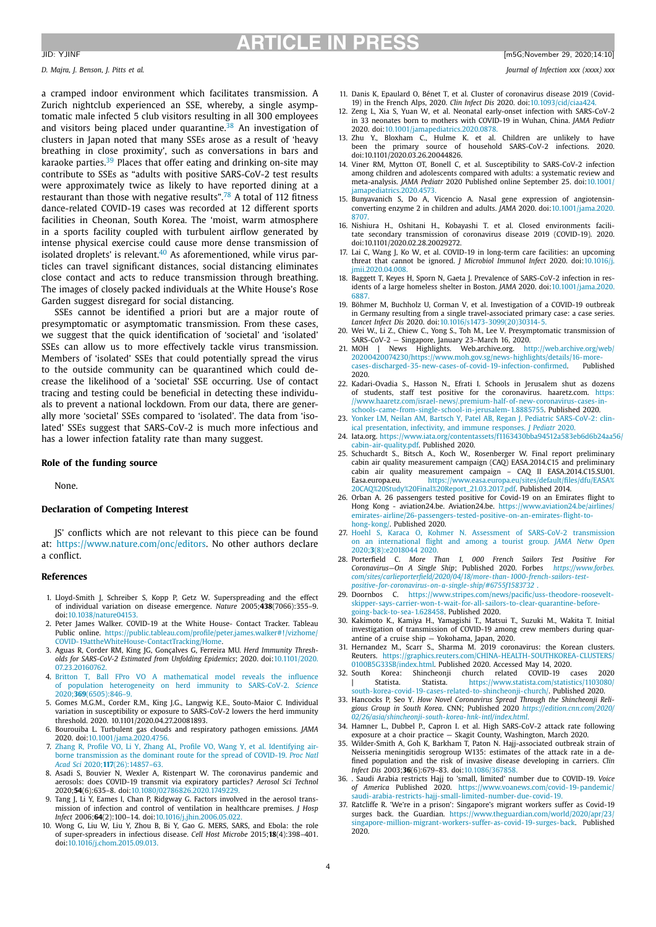## **ARTICLE IN PRESS** JID: YJINF [m5G;November 29, 2020;14:10]

### *D. Majra, J. Benson, J. Pitts et al. Journal of Infection xxx (xxxx) xxx*

a cramped indoor environment which facilitates transmission. A Zurich nightclub experienced an SSE, whereby, a single asymptomatic male infected 5 club visitors resulting in all 300 employees and visitors being placed under quarantine.<sup>38</sup> An investigation of clusters in Japan noted that many SSEs arose as a result of 'heavy breathing in close proximity', such as conversations in bars and karaoke parties.<sup>39</sup> Places that offer eating and drinking on-site may contribute to SSEs as "adults with positive SARS-CoV-2 test results were approximately twice as likely to have reported dining at a restaurant than those with negative results".<sup>78</sup> A total of 112 fitness dance-related COVID-19 cases was recorded at 12 different sports facilities in Cheonan, South Korea. The 'moist, warm atmosphere in a sports facility coupled with turbulent airflow generated by intense physical exercise could cause more dense transmission of isolated droplets' is relevant. $40$  As aforementioned, while virus particles can travel significant distances, social distancing eliminates close contact and acts to reduce transmission through breathing. The images of closely packed individuals at the White House's Rose Garden suggest disregard for social distancing.

SSEs cannot be identified a priori but are a major route of presymptomatic or asymptomatic transmission. From these cases, we suggest that the quick identification of 'societal' and 'isolated' SSEs can allow us to more effectively tackle virus transmission. Members of 'isolated' SSEs that could potentially spread the virus to the outside community can be quarantined which could decrease the likelihood of a 'societal' SSE occurring. Use of contact tracing and testing could be beneficial in detecting these individuals to prevent a national lockdown. From our data, there are generally more 'societal' SSEs compared to 'isolated'. The data from 'isolated' SSEs suggest that SARS-CoV-2 is much more infectious and has a lower infection fatality rate than many suggest.

### **Role of the funding source**

None.

### **Declaration of Competing Interest**

JS' conflicts which are not relevant to this piece can be found at: https://www.nature.com/onc/editors. No other authors declare a conflict.

### **References**

- 1. Lloyd-Smith J, Schreiber S, Kopp P, Getz W. Superspreading and the effect of individual variation on disease emergence. *Nature* 2005;**438**(7066):355–9. doi:10.1038/nature04153.
- 2. Peter James Walker. COVID-19 at the White House- Contact Tracker. Tableau Public online. https://public.tableau.com/profile/peter.james.walker#!/vizhome/ COVID-19attheWhiteHouse-ContactTracking/Home.
- 3. Aguas R, Corder RM, King JG, Gonçalves G, Ferreira MU. *Herd Immunity Thresholds for SARS-CoV-2 Estimated from Unfolding Epidemics*; 2020. doi:10.1101/2020. 07.23.20160762.
- 4. Britton T, Ball FPro VO A mathematical model reveals the influence of population heterogeneity on herd immunity to SARS-CoV-2. *Science* 2020;**369**(6505):846–9.
- 5. Gomes M.G.M., Corder R.M., King J.G., Langwig K.E., Souto-Maior C. Individual variation in susceptibility or exposure to SARS-CoV-2 lowers the herd immunity threshold. 2020. 10.1101/2020.04.27.20081893.
- 6. Bourouiba L. Turbulent gas clouds and respiratory pathogen emissions. *JAMA* 2020. doi:10.1001/jama.2020.4756.
- 7. Zhang R, Profile VO, Li Y, Zhang AL, Profile VO, Wang Y, et al. Identifying airborne transmission as the dominant route for the spread of COVID-19. *Proc Natl Acad Sci* 2020;**117**(26):14857–63.
- 8. Asadi S, Bouvier N, Wexler A, Ristenpart W. The coronavirus pandemic and aerosols: does COVID-19 transmit via expiratory particles? *Aerosol Sci Technol* 2020;**54**(6):635–8. doi:10.1080/02786826.2020.1749229.
- 9. Tang J, Li Y, Eames I, Chan P, Ridgway G. Factors involved in the aerosol transmission of infection and control of ventilation in healthcare premises. *J Hosp Infect* 2006;**64**(2):100–14. doi:10.1016/j.jhin.2006.05.022.
- 10. Wong G, Liu W, Liu Y, Zhou B, Bi Y, Gao G. MERS, SARS, and Ebola: the role of super-spreaders in infectious disease. *Cell Host Microbe* 2015;**18**(4):398–401. doi:10.1016/j.chom.2015.09.013.
- 11. Danis K, Epaulard O, Bénet T, et al. Cluster of coronavirus disease 2019 (Covid-19) in the French Alps, 2020. *Clin Infect Dis* 2020. doi:10.1093/cid/ciaa424.
- 12. Zeng L, Xia S, Yuan W, et al. Neonatal early-onset infection with SARS-CoV-2 in 33 neonates born to mothers with COVID-19 in Wuhan, China. *JAMA Pediatr* 2020. doi:10.1001/jamapediatrics.2020.0878.
- 13. Zhu Y., Bloxham C., Hulme K. et al. Children are unlikely to have been the primary source of household SARS-CoV-2 infections. 2020. doi:10.1101/2020.03.26.20044826.
- 14. Viner RM, Mytton OT, Bonell C, et al. Susceptibility to SARS-CoV-2 infection among children and adolescents compared with adults: a systematic review and meta-analysis. *JAMA Pediatr* 2020 Published online September 25. doi:10.1001/ jamapediatrics.2020.4573.
- 15. Bunyavanich S, Do A, Vicencio A. Nasal gene expression of angiotensin-converting enzyme 2 in children and adults. *JAMA* 2020. doi:10.1001/jama.2020. 8707.
- 16. Nishiura H., Oshitani H., Kobayashi T. et al. Closed environments facilitate secondary transmission of coronavirus disease 2019 (COVID-19). 2020. doi:10.1101/2020.02.28.20029272.
- 17. Lai C, Wang J, Ko W, et al. COVID-19 in long-term care facilities: an upcoming threat that cannot be ignored. *J Microbiol Immunol Infect* 2020. doi:10.1016/j. jmii.2020.04.008.
- 18. Baggett T, Keyes H, Sporn N, Gaeta J. Prevalence of SARS-CoV-2 infection in residents of a large homeless shelter in Boston. *JAMA* 2020. doi:10.1001/jama.2020. 6887.
- 19. Böhmer M, Buchholz U, Corman V, et al. Investigation of a COVID-19 outbreak in Germany resulting from a single travel-associated primary case: a case series. *Lancet Infect Dis* 2020. doi:10.1016/s1473-3099(20)30314-5.
- 20. Wei W., Li Z., Chiew C., Yong S., Toh M., Lee V. Presymptomatic transmission of SARS-CoV-2 — Singapore, January 23–March 16, 2020.
- 21. MOH | News Highlights. Web.archive.org. http://web.archive.org/web/ 20200420074230/https://www.moh.gov.sg/news-highlights/details/16-morecases-discharged-35-new-cases-of-covid-19-infection-confirmed. 2020.
- 22. Kadari-Ovadia S., Hasson N., Efrati I. Schools in Jerusalem shut as dozens of students, staff test positive for the coronavirus. haaretz.com. https: //www.haaretz.com/israel-news/.premium-half-of-new-coronavirus-cases schools-came-from-single-school-in-jerusalem-1.8885755. Published 2020.
- 23. Yonker LM, Neilan AM, Bartsch Y, Patel AB, Regan J. Pediatric SARS-CoV-2: clinical presentation, infectivity, and immune responses. *J Pediatr* 2020.
- 24. Iata.org. https://www.iata.org/contentassets/f1163430bba94512a583eb6d6b24aa56/ cabin-air-quality.pdf. Published 2020.
- 25. Schuchardt S., Bitsch A., Koch W., Rosenberger W. Final report preliminary cabin air quality measurement campaign (CAQ) EASA.2014.C15 and preliminary cabin air quality measurement campaign – CAQ II EASA.2014.C15.SU01. Easa.europa.eu. https://www.easa.europa.eu/sites/default/files/dfu/EASA% 20CAQ%20Study%20Final%20Report\_21.03.2017.pdf. Published 2014.
- 26. Orban A. 26 passengers tested positive for Covid-19 on an Emirates flight to Hong Kong - aviation24.be. Aviation24.be. https://www.aviation24.be/airlines/ emirates-airline/26-passengers-tested-positive-on-an-emirates-flight-tohong-kong/. Published 2020.
- 27. Hoehl S, Karaca O, Kohmer N. Assessment of SARS-CoV-2 transmission on an international flight and among a tourist group. *JAMA Netw Open* 2020;3(8):e2018044 2020.<br>28. Porterfield C. More Than 1,
- 28. Porterfield C. *More Than 1, 000 French Sailors Test Positive For Coronavirus—On A Single Ship*; Published 2020. Forbes *https://www.forbes. com/sites/carlieporterfield/2020/04/18/more-than-1000-french-sailors-testpositive-for-coronavirus-on-a-single-ship/#6755f1583732* .
- 29. Doornbos C. https://www.stripes.com/news/pacific/uss-theodore-rooseveltskipper-says-carrier-won-t-wait-for-all-sailors-to-clear-quarantine-beforegoing-back-to-sea-1.628458. Published 2020.
- 30. Kakimoto K., Kamiya H., Yamagishi T., Matsui T., Suzuki M., Wakita T. Initial investigation of transmission of COVID-19 among crew members during quarantine of a cruise ship — Yokohama, Japan, 2020.
- 31. Hernandez M., Scarr S., Sharma M. 2019 coronavirus: the Korean clusters. Reuters. https://graphics.reuters.com/CHINA-HEALTH-SOUTHKOREA-CLUSTERS/ 0100B5G33SB/index.html. Published 2020. Accessed May 14, 2020.
- 32. South Korea: Shincheonji church related COVID-19 cases 2020 | Statista. Statista. https://www.statista.com/statistics/1103080/ south-korea-covid-19-cases-related-to-shincheonji-church/. Published 2020.
- 33. Hancocks P, Seo Y. How Novel Coronavirus Spread Through the Shincheonji Reli-<br>gious Group in South Korea. CNN; Published 2020 https://edition.cnn.com/2020/ *02/26/asia/shincheonji-south-korea-hnk-intl/index.html*.
- 34. Hamner L., Dubbel P., Capron I. et al. High SARS-CoV-2 attack rate following exposure at a choir practice — Skagit County, Washington, March 2020.
- 35. Wilder-Smith A, Goh K, Barkham T, Paton N. Hajj-associated outbreak strain of Neisseria meningitidis serogroup W135: estimates of the attack rate in a defined population and the risk of invasive disease developing in carriers. *Clin Infect Dis* 2003;**36**(6):679–83. doi:10.1086/367858.
- 36. . Saudi Arabia restricts Hajj to 'small, limited' number due to COVID-19. *Voice of America* Published 2020. https://www.voanews.com/covid-19-pandemic/ saudi-arabia-restricts-hajj-small-limited-number-due-covid-19.
- 37. Ratcliffe R. 'We're in a prison': Singapore's migrant workers suffer as Covid-19 surges back. the Guardian. https://www.theguardian.com/world/2020/apr/23/ singapore-million-migrant-workers-suffer-as-covid-19-surges-back. Published 2020.